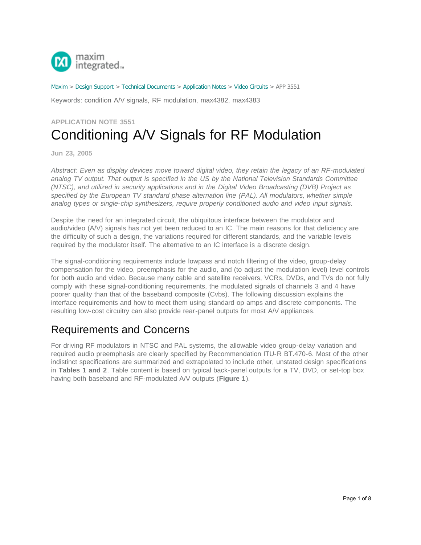

[Maxim](http://www.maximintegrated.com/) > [Design Support](http://www.maximintegrated.com/design/) > [Technical Documents](http://www.maximintegrated.com/design/techdocs/) > [Application Notes](http://www.maximintegrated.com/design/techdocs/app-notes/index.mvp) > [Video Circuits](http://www.maximintegrated.com/design/techdocs/app-notes/index.mvp/id/26/c/Video%20Circuits#c26) > APP 3551

Keywords: condition A/V signals, RF modulation, max4382, max4383

## **APPLICATION NOTE 3551** Conditioning A/V Signals for RF Modulation

**Jun 23, 2005**

*Abstract: Even as display devices move toward digital video, they retain the legacy of an RF-modulated analog TV output. That output is specified in the US by the National Television Standards Committee (NTSC), and utilized in security applications and in the Digital Video Broadcasting (DVB) Project as specified by the European TV standard phase alternation line (PAL). All modulators, whether simple analog types or single-chip synthesizers, require properly conditioned audio and video input signals.*

Despite the need for an integrated circuit, the ubiquitous interface between the modulator and audio/video (A/V) signals has not yet been reduced to an IC. The main reasons for that deficiency are the difficulty of such a design, the variations required for different standards, and the variable levels required by the modulator itself. The alternative to an IC interface is a discrete design.

The signal-conditioning requirements include lowpass and notch filtering of the video, group-delay compensation for the video, preemphasis for the audio, and (to adjust the modulation level) level controls for both audio and video. Because many cable and satellite receivers, VCRs, DVDs, and TVs do not fully comply with these signal-conditioning requirements, the modulated signals of channels 3 and 4 have poorer quality than that of the baseband composite (Cvbs). The following discussion explains the interface requirements and how to meet them using standard op amps and discrete components. The resulting low-cost circuitry can also provide rear-panel outputs for most A/V appliances.

## Requirements and Concerns

For driving RF modulators in NTSC and PAL systems, the allowable video group-delay variation and required audio preemphasis are clearly specified by Recommendation ITU-R BT.470-6. Most of the other indistinct specifications are summarized and extrapolated to include other, unstated design specifications in **Tables 1 and 2**. Table content is based on typical back-panel outputs for a TV, DVD, or set-top box having both baseband and RF-modulated A/V outputs (**Figure 1**).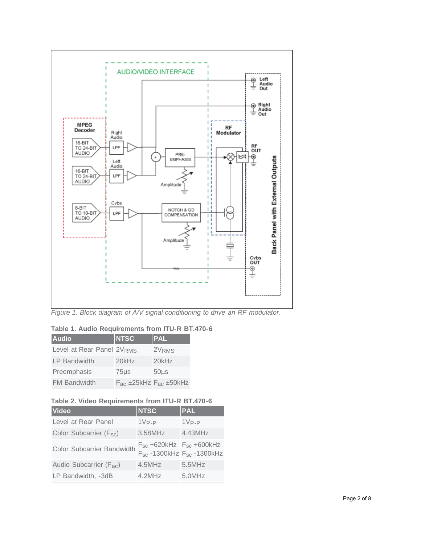

*Figure 1. Block diagram of A/V signal conditioning to drive an RF modulator.*

| <b>Audio</b>              | <b>NTSC</b> | <b>PAL</b>                      |
|---------------------------|-------------|---------------------------------|
| Level at Rear Panel 2VRMS |             | 2V <sub>RMS</sub>               |
| <b>LP Bandwidth</b>       | $20$ k $Hz$ | $20$ k $Hz$                     |
| Preemphasis               | $75\mu$ s   | $50µ$ s                         |
| <b>FM Bandwidth</b>       |             | $F_{ac}$ ±25kHz $F_{ac}$ ±50kHz |

#### **Table 2. Video Requirements from ITU-R BT.470-6**

| <b>Video</b>                        | <b>NTSC</b>                                                              | <b>PAL</b> |
|-------------------------------------|--------------------------------------------------------------------------|------------|
| Level at Rear Panel                 | $1V_{P-P}$                                                               | $1V_{P-P}$ |
| Color Subcarrier (F <sub>sc</sub> ) | 3.58MHz                                                                  | 4.43MHz    |
| Color Subcarrier Bandwidth          | $F_{sc}$ +620kHz $F_{sc}$ +600kHz<br>$F_{sc}$ -1300kHz $F_{sc}$ -1300kHz |            |
| Audio Subcarrier (F <sub>ac</sub> ) | $4.5$ MHz                                                                | $5.5$ MHz  |
| LP Bandwidth, -3dB                  | $4.2$ MHz                                                                | 5.0MHz     |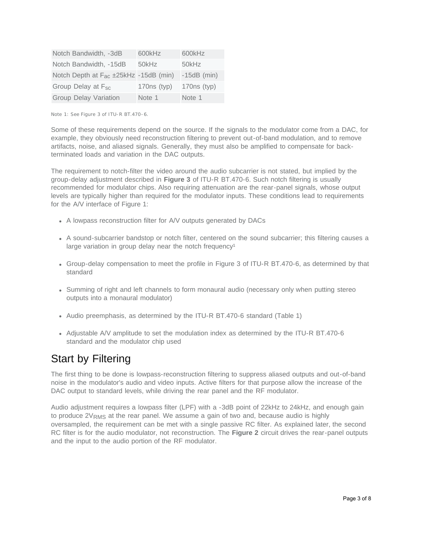| Notch Bandwidth, -3dB                             | 600kHz        | 600kHz        |
|---------------------------------------------------|---------------|---------------|
| Notch Bandwidth, -15dB                            | 50kHz         | 50kHz         |
| Notch Depth at F <sub>ac</sub> ±25kHz -15dB (min) |               | $-15dB$ (min) |
| Group Delay at F <sub>sc</sub>                    | $170ns$ (typ) | $170ns$ (typ) |
| <b>Group Delay Variation</b>                      | Note 1        | Note 1        |

Note 1: See Figure 3 of ITU-R BT.470-6.

Some of these requirements depend on the source. If the signals to the modulator come from a DAC, for example, they obviously need reconstruction filtering to prevent out-of-band modulation, and to remove artifacts, noise, and aliased signals. Generally, they must also be amplified to compensate for backterminated loads and variation in the DAC outputs.

The requirement to notch-filter the video around the audio subcarrier is not stated, but implied by the group-delay adjustment described in **Figure 3** of ITU-R BT.470-6. Such notch filtering is usually recommended for modulator chips. Also requiring attenuation are the rear-panel signals, whose output levels are typically higher than required for the modulator inputs. These conditions lead to requirements for the A/V interface of Figure 1:

- A lowpass reconstruction filter for A/V outputs generated by DACs
- A sound-subcarrier bandstop or notch filter, centered on the sound subcarrier; this filtering causes a large variation in group delay near the notch frequency<sup>1</sup>
- Group-delay compensation to meet the profile in Figure 3 of ITU-R BT.470-6, as determined by that standard
- Summing of right and left channels to form monaural audio (necessary only when putting stereo outputs into a monaural modulator)
- Audio preemphasis, as determined by the ITU-R BT.470-6 standard (Table 1)
- Adjustable A/V amplitude to set the modulation index as determined by the ITU-R BT.470-6 standard and the modulator chip used

### Start by Filtering

The first thing to be done is lowpass-reconstruction filtering to suppress aliased outputs and out-of-band noise in the modulator's audio and video inputs. Active filters for that purpose allow the increase of the DAC output to standard levels, while driving the rear panel and the RF modulator.

Audio adjustment requires a lowpass filter (LPF) with a -3dB point of 22kHz to 24kHz, and enough gain to produce  $2V<sub>RMS</sub>$  at the rear panel. We assume a gain of two and, because audio is highly oversampled, the requirement can be met with a single passive RC filter. As explained later, the second RC filter is for the audio modulator, not reconstruction. The **Figure 2** circuit drives the rear-panel outputs and the input to the audio portion of the RF modulator.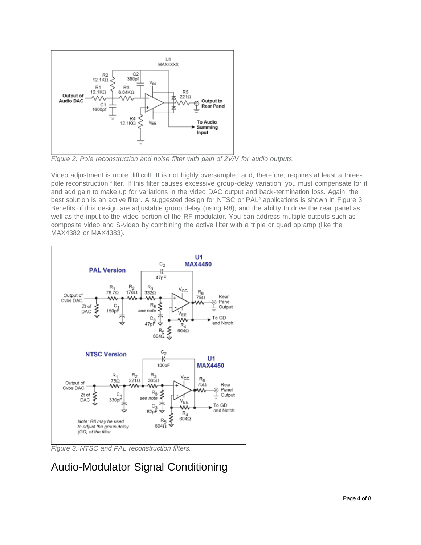

*Figure 2. Pole reconstruction and noise filter with gain of 2V/V for audio outputs.*

Video adjustment is more difficult. It is not highly oversampled and, therefore, requires at least a threepole reconstruction filter. If this filter causes excessive group-delay variation, you must compensate for it and add gain to make up for variations in the video DAC output and back-termination loss. Again, the best solution is an active filter. A suggested design for NTSC or PAL<sup>2</sup> applications is shown in Figure 3. Benefits of this design are adjustable group delay (using R8), and the ability to drive the rear panel as well as the input to the video portion of the RF modulator. You can address multiple outputs such as composite video and S-video by combining the active filter with a triple or quad op amp (like the MAX4382 or MAX4383).



*Figure 3. NTSC and PAL reconstruction filters.*

# Audio-Modulator Signal Conditioning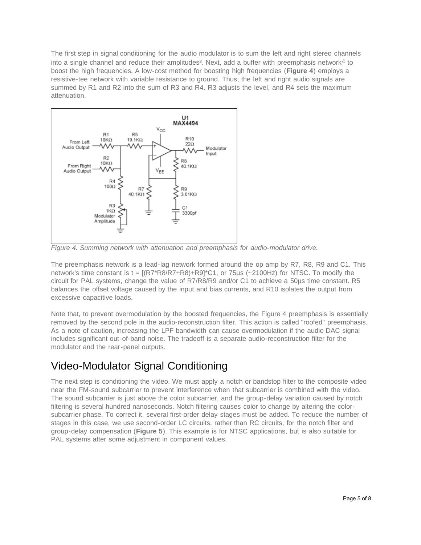The first step in signal conditioning for the audio modulator is to sum the left and right stereo channels into a single channel and reduce their amplitudes<sup>3</sup>. Next, add a buffer with preemphasis network<sup>4</sup> to boost the high frequencies. A low-cost method for boosting high frequencies (**Figure 4**) employs a resistive-tee network with variable resistance to ground. Thus, the left and right audio signals are summed by R1 and R2 into the sum of R3 and R4. R3 adjusts the level, and R4 sets the maximum attenuation.



*Figure 4. Summing network with attenuation and preemphasis for audio-modulator drive.*

The preemphasis network is a lead-lag network formed around the op amp by R7, R8, R9 and C1. This network's time constant is t = [(R7\*R8/R7+R8)+R9]\*C1, or 75µs (~2100Hz) for NTSC. To modify the circuit for PAL systems, change the value of R7/R8/R9 and/or C1 to achieve a 50µs time constant. R5 balances the offset voltage caused by the input and bias currents, and R10 isolates the output from excessive capacitive loads.

Note that, to prevent overmodulation by the boosted frequencies, the Figure 4 preemphasis is essentially removed by the second pole in the audio-reconstruction filter. This action is called "roofed" preemphasis. As a note of caution, increasing the LPF bandwidth can cause overmodulation if the audio DAC signal includes significant out-of-band noise. The tradeoff is a separate audio-reconstruction filter for the modulator and the rear-panel outputs.

# Video-Modulator Signal Conditioning

The next step is conditioning the video. We must apply a notch or bandstop filter to the composite video near the FM-sound subcarrier to prevent interference when that subcarrier is combined with the video. The sound subcarrier is just above the color subcarrier, and the group-delay variation caused by notch filtering is several hundred nanoseconds. Notch filtering causes color to change by altering the colorsubcarrier phase. To correct it, several first-order delay stages must be added. To reduce the number of stages in this case, we use second-order LC circuits, rather than RC circuits, for the notch filter and group-delay compensation (**Figure 5**). This example is for NTSC applications, but is also suitable for PAL systems after some adjustment in component values.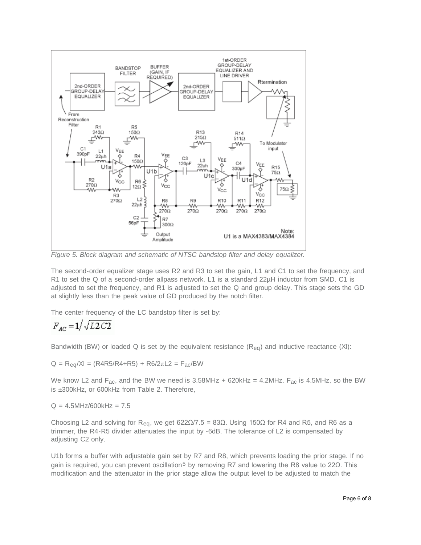

*Figure 5. Block diagram and schematic of NTSC bandstop filter and delay equalizer.*

The second-order equalizer stage uses R2 and R3 to set the gain, L1 and C1 to set the frequency, and R1 to set the Q of a second-order allpass network. L1 is a standard 22µH inductor from SMD. C1 is adjusted to set the frequency, and R1 is adjusted to set the Q and group delay. This stage sets the GD at slightly less than the peak value of GD produced by the notch filter.

The center frequency of the LC bandstop filter is set by:

$$
F_{AC}=1\big/\sqrt{L2\,C2}
$$

Bandwidth (BW) or loaded Q is set by the equivalent resistance  $(R_{eq})$  and inductive reactance (XI):

 $Q = R_{eq}/XI = (R4R5/R4 + R5) + R6/2πL2 = F_{ac}/BW$ 

We know L2 and F<sub>ac</sub>, and the BW we need is 3.58MHz + 620kHz = 4.2MHz. F<sub>ac</sub> is 4.5MHz, so the BW is ±300kHz, or 600kHz from Table 2. Therefore,

 $Q = 4.5$ MHz/600kHz =  $7.5$ 

Choosing L2 and solving for R<sub>eq</sub>, we get 622Ω/7.5 = 83Ω. Using 150Ω for R4 and R5, and R6 as a trimmer, the R4-R5 divider attenuates the input by -6dB. The tolerance of L2 is compensated by adjusting C2 only.

U1b forms a buffer with adjustable gain set by R7 and R8, which prevents loading the prior stage. If no gain is required, you can prevent oscillation5 by removing R7 and lowering the R8 value to 22Ω. This modification and the attenuator in the prior stage allow the output level to be adjusted to match the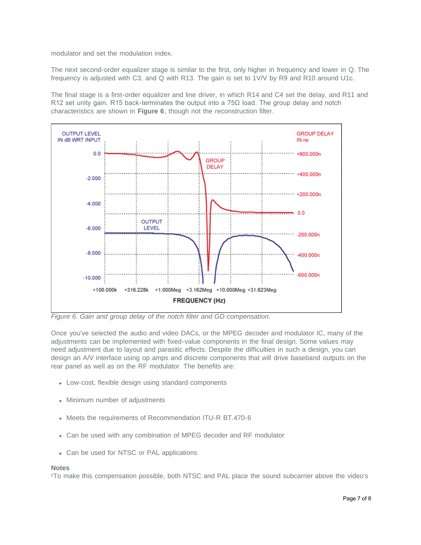modulator and set the modulation index.

The next second-order equalizer stage is similar to the first, only higher in frequency and lower in Q. The frequency is adjusted with C3, and Q with R13. The gain is set to 1V/V by R9 and R10 around U1c.

The final stage is a first-order equalizer and line driver, in which R14 and C4 set the delay, and R11 and R12 set unity gain. R15 back-terminates the output into a 75 $\Omega$  load. The group delay and notch characteristics are shown in **Figure 6**, though not the reconstruction filter.



*Figure 6. Gain and group delay of the notch filter and GD compensation.*

Once you've selected the audio and video DACs, or the MPEG decoder and modulator IC, many of the adjustments can be implemented with fixed-value components in the final design. Some values may need adjustment due to layout and parasitic effects. Despite the difficulties in such a design, you can design an A/V interface using op amps and discrete components that will drive baseband outputs on the rear panel as well as on the RF modulator. The benefits are:

- Low-cost, flexible design using standard components
- Minimum number of adjustments
- Meets the requirements of Recommendation ITU-R BT.470-6
- Can be used with any combination of MPEG decoder and RF modulator
- Can be used for NTSC or PAL applications

#### **Notes**

<sup>1</sup>To make this compensation possible, both NTSC and PAL place the sound subcarrier above the video's